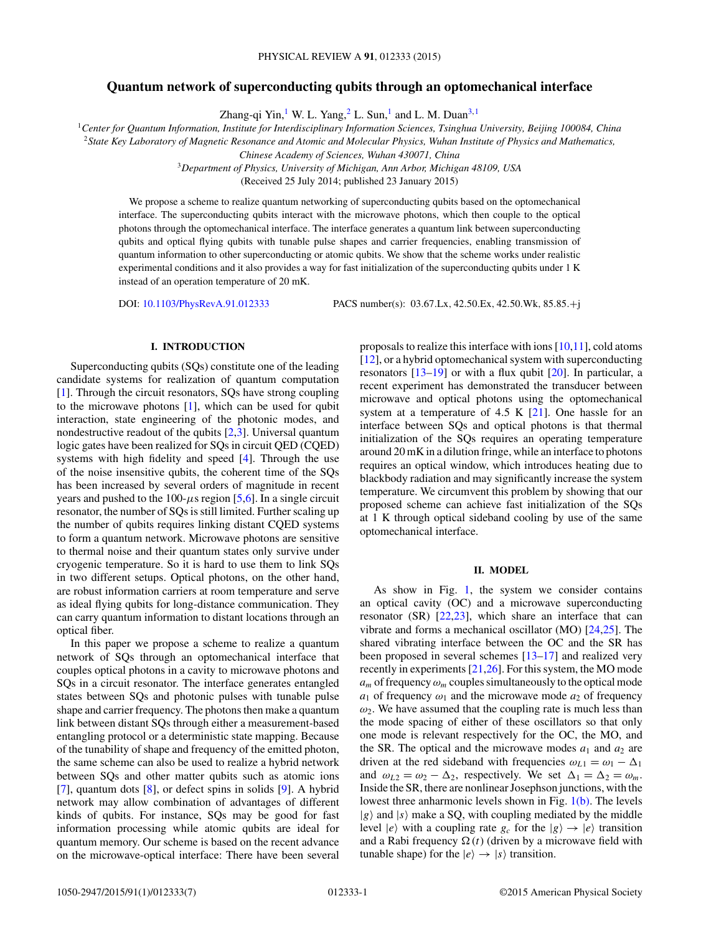## **Quantum network of superconducting qubits through an optomechanical interface**

Zhang-qi Yin,<sup>1</sup> W. L. Yang,<sup>2</sup> L. Sun,<sup>1</sup> and L. M. Duan<sup>3,1</sup>

<sup>1</sup>*Center for Quantum Information, Institute for Interdisciplinary Information Sciences, Tsinghua University, Beijing 100084, China*

<sup>2</sup>*State Key Laboratory of Magnetic Resonance and Atomic and Molecular Physics, Wuhan Institute of Physics and Mathematics,*

*Chinese Academy of Sciences, Wuhan 430071, China*

<sup>3</sup>*Department of Physics, University of Michigan, Ann Arbor, Michigan 48109, USA*

(Received 25 July 2014; published 23 January 2015)

We propose a scheme to realize quantum networking of superconducting qubits based on the optomechanical interface. The superconducting qubits interact with the microwave photons, which then couple to the optical photons through the optomechanical interface. The interface generates a quantum link between superconducting qubits and optical flying qubits with tunable pulse shapes and carrier frequencies, enabling transmission of quantum information to other superconducting or atomic qubits. We show that the scheme works under realistic experimental conditions and it also provides a way for fast initialization of the superconducting qubits under 1 K instead of an operation temperature of 20 mK.

DOI: [10.1103/PhysRevA.91.012333](http://dx.doi.org/10.1103/PhysRevA.91.012333) PACS number(s): 03*.*67*.*Lx*,* 42*.*50*.*Ex*,* 42*.*50*.*Wk*,* 85*.*85*.*+j

## **I. INTRODUCTION**

Superconducting qubits (SQs) constitute one of the leading candidate systems for realization of quantum computation [\[1\]](#page-5-0). Through the circuit resonators, SQs have strong coupling to the microwave photons [\[1\]](#page-5-0), which can be used for qubit interaction, state engineering of the photonic modes, and nondestructive readout of the qubits [\[2,3\]](#page-5-0). Universal quantum logic gates have been realized for SQs in circuit QED (CQED) systems with high fidelity and speed [\[4\]](#page-5-0). Through the use of the noise insensitive qubits, the coherent time of the SQs has been increased by several orders of magnitude in recent years and pushed to the  $100$ - $\mu$ s region [\[5,6\]](#page-5-0). In a single circuit resonator, the number of SQs is still limited. Further scaling up the number of qubits requires linking distant CQED systems to form a quantum network. Microwave photons are sensitive to thermal noise and their quantum states only survive under cryogenic temperature. So it is hard to use them to link SQs in two different setups. Optical photons, on the other hand, are robust information carriers at room temperature and serve as ideal flying qubits for long-distance communication. They can carry quantum information to distant locations through an optical fiber.

In this paper we propose a scheme to realize a quantum network of SQs through an optomechanical interface that couples optical photons in a cavity to microwave photons and SQs in a circuit resonator. The interface generates entangled states between SQs and photonic pulses with tunable pulse shape and carrier frequency. The photons then make a quantum link between distant SQs through either a measurement-based entangling protocol or a deterministic state mapping. Because of the tunability of shape and frequency of the emitted photon, the same scheme can also be used to realize a hybrid network between SQs and other matter qubits such as atomic ions [\[7\]](#page-5-0), quantum dots [\[8\]](#page-5-0), or defect spins in solids [\[9\]](#page-5-0). A hybrid network may allow combination of advantages of different kinds of qubits. For instance, SQs may be good for fast information processing while atomic qubits are ideal for quantum memory. Our scheme is based on the recent advance on the microwave-optical interface: There have been several proposals to realize this interface with ions  $[10,11]$ , cold atoms [\[12\]](#page-5-0), or a hybrid optomechanical system with superconducting resonators  $[13-19]$  or with a flux qubit  $[20]$ . In particular, a recent experiment has demonstrated the transducer between microwave and optical photons using the optomechanical system at a temperature of 4.5 K [\[21\]](#page-6-0). One hassle for an interface between SQs and optical photons is that thermal initialization of the SQs requires an operating temperature around 20 mK in a dilution fringe, while an interface to photons requires an optical window, which introduces heating due to blackbody radiation and may significantly increase the system temperature. We circumvent this problem by showing that our proposed scheme can achieve fast initialization of the SQs at 1 K through optical sideband cooling by use of the same optomechanical interface.

#### **II. MODEL**

As show in Fig. [1,](#page-1-0) the system we consider contains an optical cavity (OC) and a microwave superconducting resonator (SR) [\[22,23\]](#page-6-0), which share an interface that can vibrate and forms a mechanical oscillator (MO) [\[24,25\]](#page-6-0). The shared vibrating interface between the OC and the SR has been proposed in several schemes  $[13-17]$  and realized very recently in experiments [\[21,26\]](#page-6-0). For this system, the MO mode  $a_m$  of frequency  $\omega_m$  couples simultaneously to the optical mode  $a_1$  of frequency  $\omega_1$  and the microwave mode  $a_2$  of frequency  $\omega_2$ . We have assumed that the coupling rate is much less than the mode spacing of either of these oscillators so that only one mode is relevant respectively for the OC, the MO, and the SR. The optical and the microwave modes  $a_1$  and  $a_2$  are driven at the red sideband with frequencies  $\omega_{L1} = \omega_1 - \Delta_1$ and  $\omega_{L2} = \omega_2 - \Delta_2$ , respectively. We set  $\Delta_1 = \Delta_2 = \omega_m$ . Inside the SR, there are nonlinear Josephson junctions, with the lowest three anharmonic levels shown in Fig.  $1(b)$ . The levels  $|g\rangle$  and  $|s\rangle$  make a SQ, with coupling mediated by the middle level  $|e\rangle$  with a coupling rate  $g_c$  for the  $|g\rangle \rightarrow |e\rangle$  transition and a Rabi frequency  $\Omega(t)$  (driven by a microwave field with tunable shape) for the  $|e\rangle \rightarrow |s\rangle$  transition.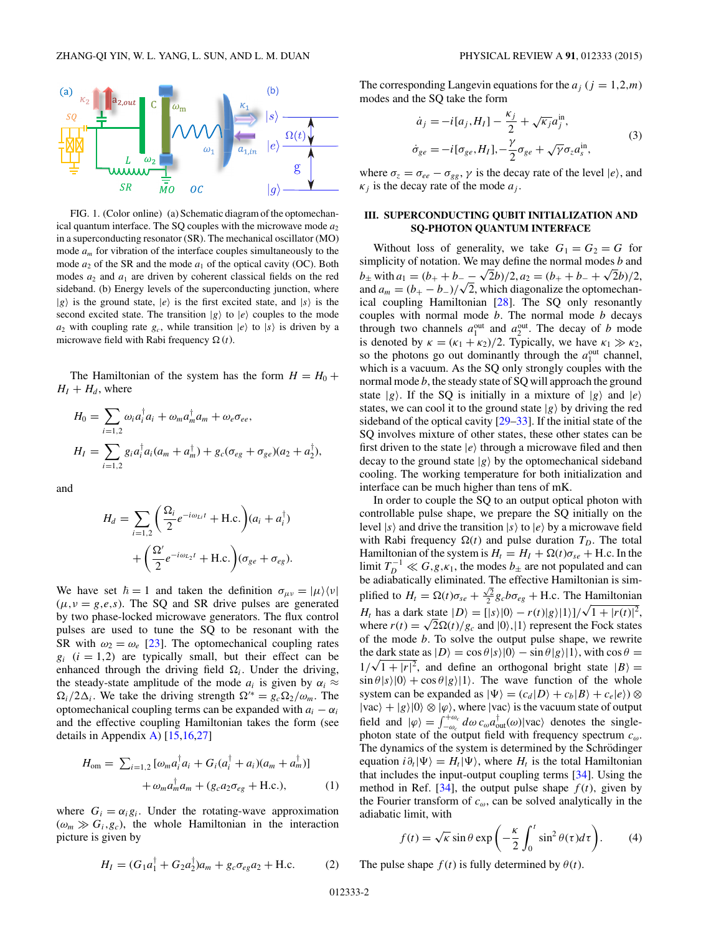<span id="page-1-0"></span>

FIG. 1. (Color online) (a) Schematic diagram of the optomechanical quantum interface. The SQ couples with the microwave mode  $a_2$ in a superconducting resonator (SR). The mechanical oscillator (MO) mode *am* for vibration of the interface couples simultaneously to the mode  $a_2$  of the SR and the mode  $a_1$  of the optical cavity (OC). Both modes  $a_2$  and  $a_1$  are driven by coherent classical fields on the red sideband. (b) Energy levels of the superconducting junction, where  $|g\rangle$  is the ground state,  $|e\rangle$  is the first excited state, and  $|s\rangle$  is the second excited state. The transition  $|g\rangle$  to  $|e\rangle$  couples to the mode  $a_2$  with coupling rate  $g_c$ , while transition  $|e\rangle$  to  $|s\rangle$  is driven by a microwave field with Rabi frequency  $\Omega(t)$ .

The Hamiltonian of the system has the form  $H = H_0 +$  $H_I + H_d$ , where

$$
H_0 = \sum_{i=1,2} \omega_i a_i^{\dagger} a_i + \omega_m a_m^{\dagger} a_m + \omega_e \sigma_{ee},
$$
  
\n
$$
H_I = \sum_{i=1,2} g_i a_i^{\dagger} a_i (a_m + a_m^{\dagger}) + g_c (\sigma_{eg} + \sigma_{ge}) (a_2 + a_2^{\dagger}),
$$

and

$$
H_d = \sum_{i=1,2} \left( \frac{\Omega_i}{2} e^{-i\omega_{Li}t} + \text{H.c.} \right) (a_i + a_i^{\dagger})
$$

$$
+ \left( \frac{\Omega'}{2} e^{-i\omega_{L_2}t} + \text{H.c.} \right) (\sigma_{ge} + \sigma_{eg}).
$$

We have set  $\hbar = 1$  and taken the definition  $\sigma_{\mu\nu} = |\mu\rangle \langle \nu|$  $(\mu, \nu = g, e, s)$ . The SQ and SR drive pulses are generated by two phase-locked microwave generators. The flux control pulses are used to tune the SQ to be resonant with the SR with  $\omega_2 = \omega_e$  [\[23\]](#page-6-0). The optomechanical coupling rates  $g_i$  ( $i = 1,2$ ) are typically small, but their effect can be enhanced through the driving field  $\Omega_i$ . Under the driving, the steady-state amplitude of the mode  $a_i$  is given by  $\alpha_i \approx$  $\Omega_i/2\Delta_i$ . We take the driving strength  $\Omega^{\prime*} = g_c \Omega_2/\omega_m$ . The optomechanical coupling terms can be expanded with  $a_i - a_i$ and the effective coupling Hamiltonian takes the form (see details in Appendix [A\)](#page-4-0) [\[15,16,](#page-5-0)[27\]](#page-6-0)

$$
H_{\text{om}} = \sum_{i=1,2} \left[ \omega_m a_i^{\dagger} a_i + G_i (a_i^{\dagger} + a_i)(a_m + a_m^{\dagger}) \right] + \omega_m a_m^{\dagger} a_m + (g_c a_2 \sigma_{eg} + \text{H.c.}),
$$
 (1)

where  $G_i = \alpha_i g_i$ . Under the rotating-wave approximation  $(\omega_m \gg G_i, g_c)$ , the whole Hamiltonian in the interaction picture is given by

$$
H_I = (G_1 a_1^{\dagger} + G_2 a_2^{\dagger}) a_m + g_c \sigma_{eg} a_2 + \text{H.c.}
$$
 (2)

The corresponding Langevin equations for the  $a_j$  ( $j = 1,2,m$ ) modes and the SQ take the form

$$
\dot{a}_j = -i[a_j, H_I] - \frac{\kappa_j}{2} + \sqrt{\kappa_j} a_j^{\text{in}},
$$
  
\n
$$
\dot{\sigma}_{ge} = -i[\sigma_{ge}, H_I], -\frac{\gamma}{2}\sigma_{ge} + \sqrt{\gamma}\sigma_z a_s^{\text{in}},
$$
\n(3)

where  $\sigma_z = \sigma_{ee} - \sigma_{gg}$ ,  $\gamma$  is the decay rate of the level  $|e\rangle$ , and  $\kappa_i$  is the decay rate of the mode  $a_i$ .

## **III. SUPERCONDUCTING QUBIT INITIALIZATION AND SQ-PHOTON QUANTUM INTERFACE**

Without loss of generality, we take  $G_1 = G_2 = G$  for simplicity of notation. We may define the normal modes *b* and  $b_{\pm}$  with  $a_1 = (b_+ + b_- - \sqrt{2}b)/2$ ,  $a_2 = (b_+ + b_- + \sqrt{2}b)/2$ , and  $a_m = (b_+ - b_-)/\sqrt{2}$ , which diagonalize the optomechanical coupling Hamiltonian [\[28\]](#page-6-0). The SQ only resonantly couples with normal mode *b*. The normal mode *b* decays through two channels  $a_1^{\text{out}}$  and  $a_2^{\text{out}}$ . The decay of *b* mode is denoted by  $\kappa = (\kappa_1 + \kappa_2)/2$ . Typically, we have  $\kappa_1 \gg \kappa_2$ , so the photons go out dominantly through the  $a_1^{\text{out}}$  channel, which is a vacuum. As the SQ only strongly couples with the normal mode *b*, the steady state of SQ will approach the ground state  $|g\rangle$ . If the SQ is initially in a mixture of  $|g\rangle$  and  $|e\rangle$ states, we can cool it to the ground state  $|g\rangle$  by driving the red sideband of the optical cavity [\[29–33\]](#page-6-0). If the initial state of the SQ involves mixture of other states, these other states can be first driven to the state  $|e\rangle$  through a microwave filed and then decay to the ground state  $|g\rangle$  by the optomechanical sideband cooling. The working temperature for both initialization and interface can be much higher than tens of mK.

In order to couple the SQ to an output optical photon with controllable pulse shape, we prepare the SQ initially on the level  $|s\rangle$  and drive the transition  $|s\rangle$  to  $|e\rangle$  by a microwave field with Rabi frequency  $\Omega(t)$  and pulse duration  $T_D$ . The total Hamiltonian of the system is  $H_t = H_I + \Omega(t)\sigma_{se} + H.c.$  In the limit  $T_D^{-1} \ll G, g, \kappa_1$ , the modes  $b_{\pm}$  are not populated and can be adiabatically eliminated. The effective Hamiltonian is simplified to  $H_t = \Omega(t)\sigma_{se} + \frac{\sqrt{2}}{2}g_c b \sigma_{eg} + \text{H.c.}$  The Hamiltonian *H<sub>t</sub>* has a dark state  $|D\rangle = [ |s\rangle |0\rangle - r(t)|g\rangle |1\rangle]/\sqrt{1 + |r(t)|^2}$ , where  $r(t) = \sqrt{2\Omega(t)/g_c}$  and  $|0\rangle$ , |1) represent the Fock states of the mode *b*. To solve the output pulse shape, we rewrite the dark state as  $|D\rangle = \cos \theta |s\rangle |0\rangle - \sin \theta |g\rangle |1\rangle$ , with  $\cos \theta =$  $1/\sqrt{1+|r|^2}$ , and define an orthogonal bright state  $|B\rangle =$  $\sin \theta |s\rangle |0\rangle + \cos \theta |g\rangle |1\rangle$ . The wave function of the whole system can be expanded as  $|\Psi\rangle = (c_d|D\rangle + c_b|B\rangle + c_e|e\rangle) \otimes$  $|vac\rangle + |g\rangle|0\rangle \otimes |\varphi\rangle$ , where  $|vac\rangle$  is the vacuum state of output field and  $|\varphi\rangle = \int_{-\omega_c}^{+\omega_c} d\omega c_\omega a_{\text{out}}^\dagger(\omega)|\text{vac}\rangle$  denotes the singlephoton state of the output field with frequency spectrum *cω*. The dynamics of the system is determined by the Schrödinger equation  $i\partial_t|\Psi\rangle = H_t|\Psi\rangle$ , where  $H_t$  is the total Hamiltonian that includes the input-output coupling terms [\[34\]](#page-6-0). Using the method in Ref. [\[34\]](#page-6-0), the output pulse shape  $f(t)$ , given by the Fourier transform of *cω*, can be solved analytically in the adiabatic limit, with

$$
f(t) = \sqrt{\kappa} \sin \theta \exp\left(-\frac{\kappa}{2} \int_0^t \sin^2 \theta(\tau) d\tau\right).
$$
 (4)

The pulse shape  $f(t)$  is fully determined by  $\theta(t)$ .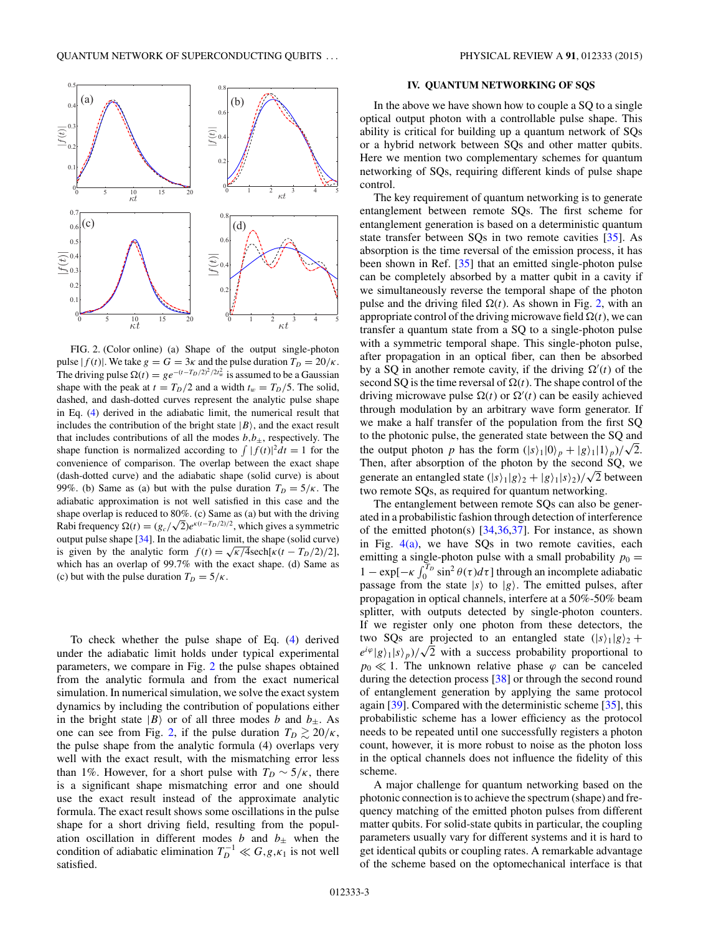

FIG. 2. (Color online) (a) Shape of the output single-photon pulse  $|f(t)|$ . We take  $g = G = 3\kappa$  and the pulse duration  $T_D = 20/\kappa$ . The driving pulse  $\Omega(t) = g e^{-(t-T_D/2)^2/2t_w^2}$  is assumed to be a Gaussian shape with the peak at  $t = T_D/2$  and a width  $t_w = T_D/5$ . The solid, dashed, and dash-dotted curves represent the analytic pulse shape in Eq. [\(4\)](#page-1-0) derived in the adiabatic limit, the numerical result that includes the contribution of the bright state  $|B\rangle$ , and the exact result that includes contributions of all the modes  $b, b<sub>±</sub>$ , respectively. The shape function is normalized according to  $\int |f(t)|^2 dt = 1$  for the convenience of comparison. The overlap between the exact shape (dash-dotted curve) and the adiabatic shape (solid curve) is about 99%. (b) Same as (a) but with the pulse duration  $T_D = 5/\kappa$ . The adiabatic approximation is not well satisfied in this case and the shape overlap is reduced to  $80\%$ . (c) Same as (a) but with the driving Rabi frequency  $\Omega(t) = (g_c/\sqrt{2})e^{\kappa(t-T_D/2)/2}$ , which gives a symmetric output pulse shape [\[34\]](#page-6-0). In the adiabatic limit, the shape (solid curve) is given by the analytic form  $f(t) = \sqrt{\frac{\kappa}{4}} \operatorname{sech}[\frac{\kappa(t - T_D/2)}{2}]$ , which has an overlap of 99*.*7% with the exact shape. (d) Same as (c) but with the pulse duration  $T_D = 5/\kappa$ .

To check whether the pulse shape of Eq. [\(4\)](#page-1-0) derived under the adiabatic limit holds under typical experimental parameters, we compare in Fig. 2 the pulse shapes obtained from the analytic formula and from the exact numerical simulation. In numerical simulation, we solve the exact system dynamics by including the contribution of populations either in the bright state  $|B\rangle$  or of all three modes *b* and  $b_{\pm}$ . As one can see from Fig. 2, if the pulse duration  $T_D \gtrsim 20/\kappa$ , the pulse shape from the analytic formula (4) overlaps very well with the exact result, with the mismatching error less than 1%. However, for a short pulse with  $T_D \sim 5/\kappa$ , there is a significant shape mismatching error and one should use the exact result instead of the approximate analytic formula. The exact result shows some oscillations in the pulse shape for a short driving field, resulting from the population oscillation in different modes *b* and  $b_{\pm}$  when the condition of adiabatic elimination  $T_D^{-1} \ll G, g, \kappa_1$  is not well satisfied.

### **IV. QUANTUM NETWORKING OF SQS**

In the above we have shown how to couple a SQ to a single optical output photon with a controllable pulse shape. This ability is critical for building up a quantum network of SQs or a hybrid network between SQs and other matter qubits. Here we mention two complementary schemes for quantum networking of SQs, requiring different kinds of pulse shape control.

The key requirement of quantum networking is to generate entanglement between remote SQs. The first scheme for entanglement generation is based on a deterministic quantum state transfer between SQs in two remote cavities [\[35\]](#page-6-0). As absorption is the time reversal of the emission process, it has been shown in Ref. [\[35\]](#page-6-0) that an emitted single-photon pulse can be completely absorbed by a matter qubit in a cavity if we simultaneously reverse the temporal shape of the photon pulse and the driving filed  $\Omega(t)$ . As shown in Fig. 2, with an appropriate control of the driving microwave field  $\Omega(t)$ , we can transfer a quantum state from a SQ to a single-photon pulse with a symmetric temporal shape. This single-photon pulse, after propagation in an optical fiber, can then be absorbed by a SQ in another remote cavity, if the driving  $\Omega'(t)$  of the second SQ is the time reversal of  $\Omega(t)$ . The shape control of the driving microwave pulse  $\Omega(t)$  or  $\Omega'(t)$  can be easily achieved through modulation by an arbitrary wave form generator. If we make a half transfer of the population from the first SQ to the photonic pulse, the generated state between the SQ and the output photon *p* has the form  $(|s\rangle_1|0\rangle_p + |g\rangle_1|1\rangle_p)/\sqrt{2}$ . Then, after absorption of the photon by the second SQ, we generate an entangled state  $(|s\rangle_1 |g\rangle_2 + |g\rangle_1 |s\rangle_2)/\sqrt{2}$  between two remote SQs, as required for quantum networking.

The entanglement between remote SQs can also be generated in a probabilistic fashion through detection of interference of the emitted photon(s)  $[34,36,37]$ . For instance, as shown in Fig.  $4(a)$ , we have SQs in two remote cavities, each emitting a single-photon pulse with a small probability  $p_0 =$ 1 − exp[ $-\kappa \int_0^{T_D} \sin^2 \theta(\tau) d\tau$ ] through an incomplete adiabatic passage from the state  $|s\rangle$  to  $|g\rangle$ . The emitted pulses, after propagation in optical channels, interfere at a 50%-50% beam splitter, with outputs detected by single-photon counters. If we register only one photon from these detectors, the two SQs are projected to an entangled state  $(|s\rangle_1 |g\rangle_2 +$  $e^{i\phi}|g\rangle_1|s\rangle_p$ / $\sqrt{2}$  with a success probability proportional to  $p_0 \ll 1$ . The unknown relative phase  $\varphi$  can be canceled during the detection process [\[38\]](#page-6-0) or through the second round of entanglement generation by applying the same protocol again [\[39\]](#page-6-0). Compared with the deterministic scheme [\[35\]](#page-6-0), this probabilistic scheme has a lower efficiency as the protocol needs to be repeated until one successfully registers a photon count, however, it is more robust to noise as the photon loss in the optical channels does not influence the fidelity of this scheme.

A major challenge for quantum networking based on the photonic connection is to achieve the spectrum (shape) and frequency matching of the emitted photon pulses from different matter qubits. For solid-state qubits in particular, the coupling parameters usually vary for different systems and it is hard to get identical qubits or coupling rates. A remarkable advantage of the scheme based on the optomechanical interface is that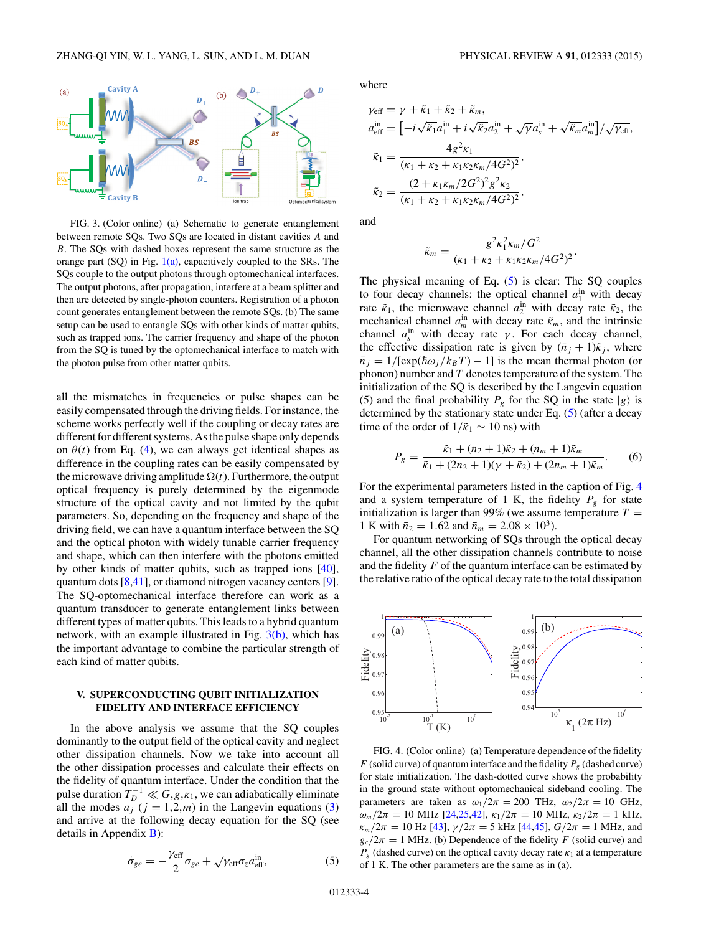<span id="page-3-0"></span>

FIG. 3. (Color online) (a) Schematic to generate entanglement between remote SQs. Two SQs are located in distant cavities *A* and *B*. The SQs with dashed boxes represent the same structure as the orange part  $(SQ)$  in Fig.  $1(a)$ , capacitively coupled to the SRs. The SQs couple to the output photons through optomechanical interfaces. The output photons, after propagation, interfere at a beam splitter and then are detected by single-photon counters. Registration of a photon count generates entanglement between the remote SQs. (b) The same setup can be used to entangle SQs with other kinds of matter qubits, such as trapped ions. The carrier frequency and shape of the photon from the SQ is tuned by the optomechanical interface to match with the photon pulse from other matter qubits.

all the mismatches in frequencies or pulse shapes can be easily compensated through the driving fields. For instance, the scheme works perfectly well if the coupling or decay rates are different for different systems. As the pulse shape only depends on  $\theta(t)$  from Eq. [\(4\)](#page-1-0), we can always get identical shapes as difference in the coupling rates can be easily compensated by the microwave driving amplitude  $\Omega(t)$ . Furthermore, the output optical frequency is purely determined by the eigenmode structure of the optical cavity and not limited by the qubit parameters. So, depending on the frequency and shape of the driving field, we can have a quantum interface between the SQ and the optical photon with widely tunable carrier frequency and shape, which can then interfere with the photons emitted by other kinds of matter qubits, such as trapped ions [\[40\]](#page-6-0), quantum dots [\[8](#page-5-0)[,41\]](#page-6-0), or diamond nitrogen vacancy centers [\[9\]](#page-5-0). The SQ-optomechanical interface therefore can work as a quantum transducer to generate entanglement links between different types of matter qubits. This leads to a hybrid quantum network, with an example illustrated in Fig.  $3(b)$ , which has the important advantage to combine the particular strength of each kind of matter qubits.

# **V. SUPERCONDUCTING QUBIT INITIALIZATION FIDELITY AND INTERFACE EFFICIENCY**

In the above analysis we assume that the SQ couples dominantly to the output field of the optical cavity and neglect other dissipation channels. Now we take into account all the other dissipation processes and calculate their effects on the fidelity of quantum interface. Under the condition that the pulse duration  $T_D^{-1} \ll G, g, \kappa_1$ , we can adiabatically eliminate all the modes  $a_j$  ( $j = 1,2,m$ ) in the Langevin equations [\(3\)](#page-1-0) and arrive at the following decay equation for the SQ (see details in Appendix  $\bf{B}$ ):

$$
\dot{\sigma}_{ge} = -\frac{\gamma_{\text{eff}}}{2}\sigma_{ge} + \sqrt{\gamma_{\text{eff}}}\sigma_z a_{\text{eff}}^{\text{in}},\tag{5}
$$

where

$$
\gamma_{\text{eff}} = \gamma + \tilde{\kappa}_1 + \tilde{\kappa}_2 + \tilde{\kappa}_m,
$$
  
\n
$$
a_{\text{eff}}^{\text{in}} = \left[ -i\sqrt{\tilde{\kappa}_1} a_1^{\text{in}} + i\sqrt{\tilde{\kappa}_2} a_2^{\text{in}} + \sqrt{\gamma} a_s^{\text{in}} + \sqrt{\tilde{\kappa}_m} a_m^{\text{in}} \right] / \sqrt{\gamma_{\text{eff}}},
$$
  
\n
$$
\tilde{\kappa}_1 = \frac{4g^2 \kappa_1}{(\kappa_1 + \kappa_2 + \kappa_1 \kappa_2 \kappa_m / 4G^2)^2},
$$
  
\n
$$
\tilde{\kappa}_2 = \frac{(2 + \kappa_1 \kappa_m / 2G^2)^2 g^2 \kappa_2}{(\kappa_1 + \kappa_2 + \kappa_1 \kappa_2 \kappa_m / 4G^2)^2},
$$

and

$$
\tilde{\kappa}_m = \frac{g^2 \kappa_1^2 \kappa_m / G^2}{(\kappa_1 + \kappa_2 + \kappa_1 \kappa_2 \kappa_m / 4G^2)^2}.
$$

The physical meaning of Eq. (5) is clear: The SQ couples to four decay channels: the optical channel  $a_1^{\text{in}}$  with decay rate  $\tilde{\kappa}_1$ , the microwave channel  $a_2^{\text{in}}$  with decay rate  $\tilde{\kappa}_2$ , the mechanical channel  $a_m^{\text{in}}$  with decay rate  $\tilde{\kappa}_m$ , and the intrinsic channel  $a_s^{\text{in}}$  with decay rate *γ*. For each decay channel, the effective dissipation rate is given by  $(\bar{n}_i + 1)\tilde{\kappa}_i$ , where  $\bar{n}_j = 1/[\exp(\hbar \omega_j / k_B T) - 1]$  is the mean thermal photon (or phonon) number and *T* denotes temperature of the system. The initialization of the SQ is described by the Langevin equation (5) and the final probability  $P_g$  for the SQ in the state  $|g\rangle$  is determined by the stationary state under Eq. (5) (after a decay time of the order of  $1/\tilde{\kappa}_1 \sim 10$  ns) with

$$
P_g = \frac{\tilde{\kappa}_1 + (n_2 + 1)\tilde{\kappa}_2 + (n_m + 1)\tilde{\kappa}_m}{\tilde{\kappa}_1 + (2n_2 + 1)(\gamma + \tilde{\kappa}_2) + (2n_m + 1)\tilde{\kappa}_m}.
$$
 (6)

For the experimental parameters listed in the caption of Fig. 4 and a system temperature of 1 K, the fidelity  $P_g$  for state initialization is larger than 99% (we assume temperature  $T =$ 1 K with  $\bar{n}_2 = 1.62$  and  $\bar{n}_m = 2.08 \times 10^3$ .

For quantum networking of SQs through the optical decay channel, all the other dissipation channels contribute to noise and the fidelity *F* of the quantum interface can be estimated by the relative ratio of the optical decay rate to the total dissipation



FIG. 4. (Color online) (a) Temperature dependence of the fidelity *F* (solid curve) of quantum interface and the fidelity  $P_g$  (dashed curve) for state initialization. The dash-dotted curve shows the probability in the ground state without optomechanical sideband cooling. The parameters are taken as  $\omega_1/2\pi = 200$  THz,  $\omega_2/2\pi = 10$  GHz, *ω*<sub>*m*</sub>/2*π* = 10 MHz [\[24,25,42\]](#page-6-0),  $\kappa_1/2\pi$  = 10 MHz,  $\kappa_2/2\pi$  = 1 kHz, *κ*<sub>*m*</sub>/2*π* = 10 Hz [\[43\]](#page-6-0),  $γ/2π = 5$  kHz [\[44,45\]](#page-6-0),  $G/2π = 1$  MHz, and  $g_c/2\pi = 1$  MHz. (b) Dependence of the fidelity *F* (solid curve) and  $P_{g}$  (dashed curve) on the optical cavity decay rate  $\kappa_1$  at a temperature of 1 K. The other parameters are the same as in (a).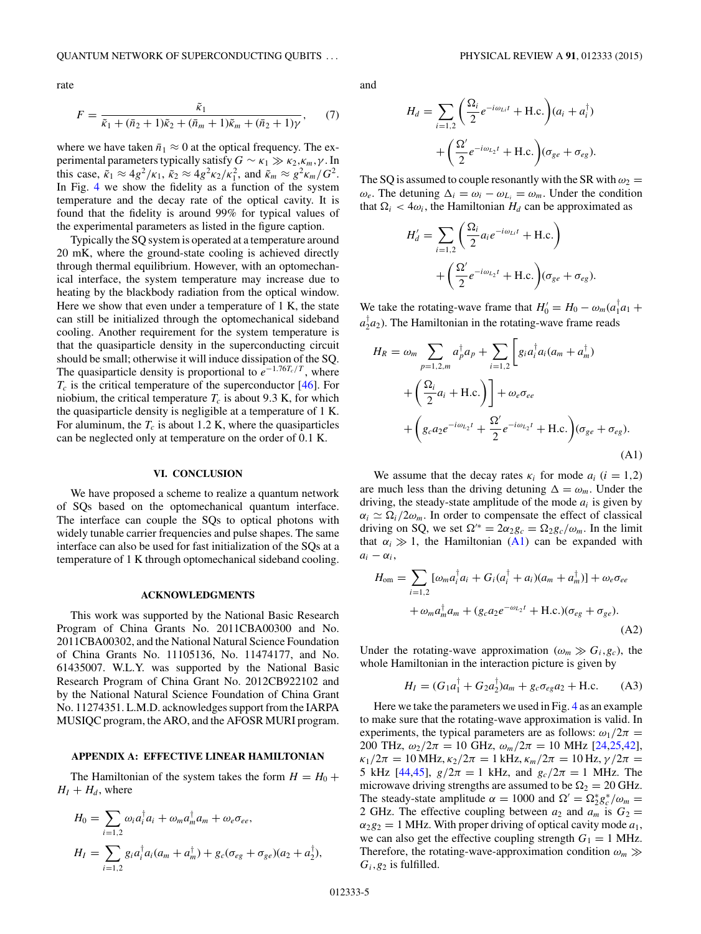<span id="page-4-0"></span>rate

$$
F = \frac{\tilde{\kappa}_1}{\tilde{\kappa}_1 + (\bar{n}_2 + 1)\tilde{\kappa}_2 + (\bar{n}_m + 1)\tilde{\kappa}_m + (\bar{n}_2 + 1)\gamma},\tag{7}
$$

where we have taken  $\bar{n}_1 \approx 0$  at the optical frequency. The experimental parameters typically satisfy  $G \sim \kappa_1 \gg \kappa_2, \kappa_m, \gamma$ . In this case,  $\tilde{\kappa}_1 \approx 4g^2/\kappa_1$ ,  $\tilde{\kappa}_2 \approx 4g^2\kappa_2/\kappa_1^2$ , and  $\tilde{\kappa}_m \approx g^2\kappa_m/G^2$ . In Fig. [4](#page-3-0) we show the fidelity as a function of the system temperature and the decay rate of the optical cavity. It is found that the fidelity is around 99% for typical values of the experimental parameters as listed in the figure caption.

Typically the SQ system is operated at a temperature around 20 mK, where the ground-state cooling is achieved directly through thermal equilibrium. However, with an optomechanical interface, the system temperature may increase due to heating by the blackbody radiation from the optical window. Here we show that even under a temperature of 1 K, the state can still be initialized through the optomechanical sideband cooling. Another requirement for the system temperature is that the quasiparticle density in the superconducting circuit should be small; otherwise it will induce dissipation of the SQ. The quasiparticle density is proportional to  $e^{-1.76T_c/T}$ , where  $T_c$  is the critical temperature of the superconductor  $[46]$ . For niobium, the critical temperature  $T_c$  is about 9.3 K, for which the quasiparticle density is negligible at a temperature of 1 K. For aluminum, the  $T_c$  is about 1.2 K, where the quasiparticles can be neglected only at temperature on the order of 0*.*1 K.

#### **VI. CONCLUSION**

We have proposed a scheme to realize a quantum network of SQs based on the optomechanical quantum interface. The interface can couple the SQs to optical photons with widely tunable carrier frequencies and pulse shapes. The same interface can also be used for fast initialization of the SQs at a temperature of 1 K through optomechanical sideband cooling.

#### **ACKNOWLEDGMENTS**

This work was supported by the National Basic Research Program of China Grants No. 2011CBA00300 and No. 2011CBA00302, and the National Natural Science Foundation of China Grants No. 11105136, No. 11474177, and No. 61435007. W.L.Y. was supported by the National Basic Research Program of China Grant No. 2012CB922102 and by the National Natural Science Foundation of China Grant No. 11274351. L.M.D. acknowledges support from the IARPA MUSIQC program, the ARO, and the AFOSR MURI program.

#### **APPENDIX A: EFFECTIVE LINEAR HAMILTONIAN**

The Hamiltonian of the system takes the form  $H = H_0 +$  $H_I + H_d$ , where

$$
H_0 = \sum_{i=1,2} \omega_i a_i^\dagger a_i + \omega_m a_m^\dagger a_m + \omega_e \sigma_{ee},
$$
  
\n
$$
H_I = \sum_{i=1,2} g_i a_i^\dagger a_i (a_m + a_m^\dagger) + g_c (\sigma_{eg} + \sigma_{ge})(a_2 + a_2^\dagger),
$$

and

$$
H_d = \sum_{i=1,2} \left( \frac{\Omega_i}{2} e^{-i\omega_{Li}t} + \text{H.c.} \right) (a_i + a_i^{\dagger})
$$

$$
+ \left( \frac{\Omega'}{2} e^{-i\omega_{L_2}t} + \text{H.c.} \right) (\sigma_{ge} + \sigma_{eg}).
$$

The SQ is assumed to couple resonantly with the SR with  $\omega_2$  =  $\omega_e$ . The detuning  $\Delta_i = \omega_i - \omega_{L_i} = \omega_m$ . Under the condition that  $\Omega_i < 4\omega_i$ , the Hamiltonian  $H_d$  can be approximated as

$$
H'_d = \sum_{i=1,2} \left( \frac{\Omega_i}{2} a_i e^{-i\omega_{Li}t} + \text{H.c.} \right)
$$

$$
+ \left( \frac{\Omega'}{2} e^{-i\omega_{L2}t} + \text{H.c.} \right) (\sigma_{ge} + \sigma_{eg}).
$$

We take the rotating-wave frame that  $H'_0 = H_0 - \omega_m (a_1^\dagger a_1 +$  $a_2^{\dagger}a_2$ ). The Hamiltonian in the rotating-wave frame reads

$$
H_R = \omega_m \sum_{p=1,2,m} a_p^{\dagger} a_p + \sum_{i=1,2} \left[ g_i a_i^{\dagger} a_i (a_m + a_m^{\dagger}) \right]
$$
  
+  $\left( \frac{\Omega_i}{2} a_i + \text{H.c.} \right) + \omega_e \sigma_{ee}$   
+  $\left( g_c a_2 e^{-i\omega_{L_2}t} + \frac{\Omega'}{2} e^{-i\omega_{L_2}t} + \text{H.c.} \right) (\sigma_{ge} + \sigma_{eg}).$  (A1)

We assume that the decay rates  $\kappa_i$  for mode  $a_i$  ( $i = 1,2$ ) are much less than the driving detuning  $\Delta = \omega_m$ . Under the driving, the steady-state amplitude of the mode  $a_i$  is given by  $\alpha_i \simeq \Omega_i/2\omega_m$ . In order to compensate the effect of classical driving on SQ, we set  $\Omega^{\prime*} = 2\alpha_2 g_c = \Omega_2 g_c / \omega_m$ . In the limit that  $\alpha_i \gg 1$ , the Hamiltonian (A1) can be expanded with  $a_i - \alpha_i$ ,

$$
H_{\text{om}} = \sum_{i=1,2} [\omega_m a_i^{\dagger} a_i + G_i (a_i^{\dagger} + a_i)(a_m + a_m^{\dagger})] + \omega_e \sigma_{ee}
$$
  
+  $\omega_m a_m^{\dagger} a_m + (g_c a_2 e^{-\omega_{L_2} t} + \text{H.c.})(\sigma_{eg} + \sigma_{ge}).$  (A2)

Under the rotating-wave approximation ( $\omega_m \gg G_i$ ,  $g_c$ ), the whole Hamiltonian in the interaction picture is given by

 $\mathbb{R}^2$ 

$$
H_I = (G_1 a_1^{\dagger} + G_2 a_2^{\dagger}) a_m + g_c \sigma_{eg} a_2 + \text{H.c.} \tag{A3}
$$

Here we take the parameters we used in Fig. [4](#page-3-0) as an example to make sure that the rotating-wave approximation is valid. In experiments, the typical parameters are as follows:  $\omega_1/2\pi$  = 200 THz,  $\omega_2/2\pi = 10$  GHz,  $\omega_m/2\pi = 10$  MHz [\[24,25,42\]](#page-6-0),  $\kappa_1/2\pi = 10 \text{ MHz}, \kappa_2/2\pi = 1 \text{ kHz}, \kappa_m/2\pi = 10 \text{ Hz}, \gamma/2\pi =$ 5 kHz [\[44,45\]](#page-6-0),  $g/2\pi = 1$  kHz, and  $g_c/2\pi = 1$  MHz. The microwave driving strengths are assumed to be  $\Omega_2 = 20$  GHz. The steady-state amplitude  $\alpha = 1000$  and  $\Omega' = \Omega_2^* g_c^* / \omega_m =$ 2 GHz. The effective coupling between  $a_2$  and  $a_m$  is  $G_2 =$  $\alpha_2 g_2 = 1$  MHz. With proper driving of optical cavity mode  $a_1$ , we can also get the effective coupling strength  $G_1 = 1$  MHz. Therefore, the rotating-wave-approximation condition  $\omega_m \gg$  $G_i$ ,  $g_2$  is fulfilled.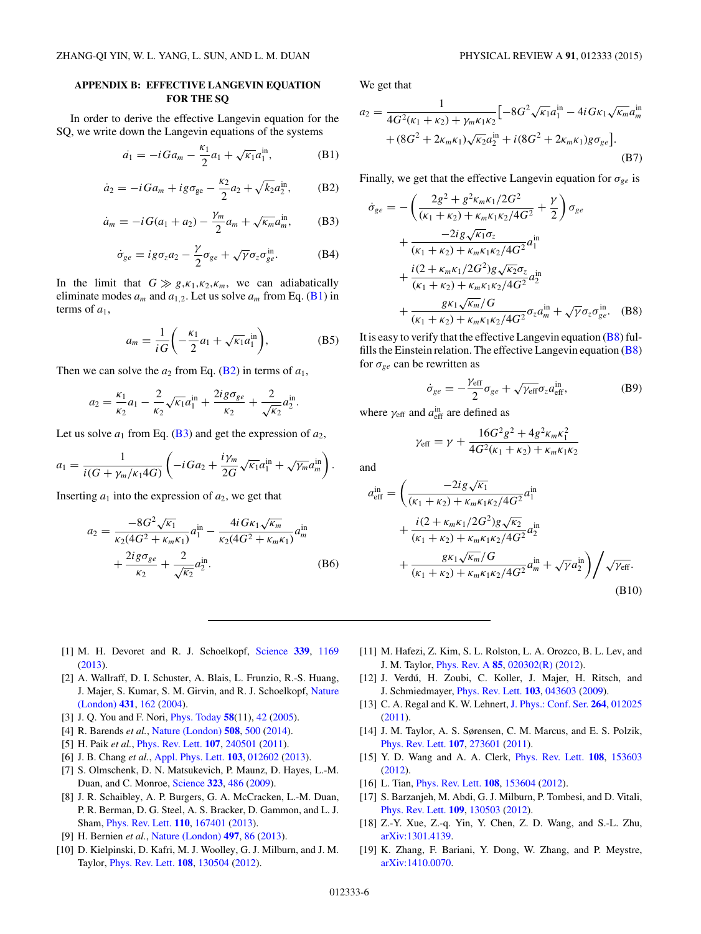## <span id="page-5-0"></span>**APPENDIX B: EFFECTIVE LANGEVIN EQUATION FOR THE SQ**

In order to derive the effective Langevin equation for the SQ, we write down the Langevin equations of the systems

$$
\dot{a_1} = -iGa_m - \frac{\kappa_1}{2}a_1 + \sqrt{\kappa_1}a_1^{\text{in}}, \tag{B1}
$$

$$
\dot{a}_2 = -iGa_m + ig\sigma_{ge} - \frac{\kappa_2}{2}a_2 + \sqrt{k_2}a_2^{\text{in}},
$$
 (B2)

$$
\dot{a}_m = -iG(a_1 + a_2) - \frac{\gamma_m}{2}a_m + \sqrt{\kappa_m}a_m^{\text{in}},
$$
 (B3)

$$
\dot{\sigma}_{ge} = ig \sigma_z a_2 - \frac{\gamma}{2} \sigma_{ge} + \sqrt{\gamma} \sigma_z \sigma_{ge}^{\text{in}}.
$$
 (B4)

In the limit that  $G \gg g, \kappa_1, \kappa_2, \kappa_m$ , we can adiabatically eliminate modes  $a_m$  and  $a_{1,2}$ . Let us solve  $a_m$  from Eq. (B1) in terms of  $a_1$ ,

$$
a_m = \frac{1}{iG} \left( -\frac{\kappa_1}{2} a_1 + \sqrt{\kappa_1} a_1^{\text{in}} \right),\tag{B5}
$$

Then we can solve the  $a_2$  from Eq. (B2) in terms of  $a_1$ ,

$$
a_2 = \frac{\kappa_1}{\kappa_2} a_1 - \frac{2}{\kappa_2} \sqrt{\kappa_1} a_1^{\text{in}} + \frac{2ig\sigma_{ge}}{\kappa_2} + \frac{2}{\sqrt{\kappa_2}} a_2^{\text{in}}.
$$

Let us solve  $a_1$  from Eq. (B3) and get the expression of  $a_2$ ,

$$
a_1=\frac{1}{i(G+\gamma_m/\kappa_1 4G)}\left(-iGa_2+\frac{i\gamma_m}{2G}\sqrt{\kappa_1}a_1^{\text{in}}+\sqrt{\gamma_m}a_m^{\text{in}}\right).
$$

Inserting  $a_1$  into the expression of  $a_2$ , we get that

$$
a_2 = \frac{-8G^2\sqrt{\kappa_1}}{\kappa_2(4G^2 + \kappa_m\kappa_1)} a_1^{\text{in}} - \frac{4iG\kappa_1\sqrt{\kappa_m}}{\kappa_2(4G^2 + \kappa_m\kappa_1)} a_m^{\text{in}} + \frac{2ig\sigma_{ge}}{\kappa_2} + \frac{2}{\sqrt{\kappa_2}} a_2^{\text{in}}.
$$
 (B6)

We get that

$$
a_2 = \frac{1}{4G^2(\kappa_1 + \kappa_2) + \gamma_m \kappa_1 \kappa_2} \left[ -8G^2 \sqrt{\kappa_1} a_1^{\text{in}} - 4i G \kappa_1 \sqrt{\kappa_m} a_m^{\text{in}} + (8G^2 + 2\kappa_m \kappa_1) \sqrt{\kappa_2} a_2^{\text{in}} + i (8G^2 + 2\kappa_m \kappa_1) g \sigma_{ge} \right].
$$
\n(B7)

Finally, we get that the effective Langevin equation for *σge* is

$$
\dot{\sigma}_{ge} = -\left(\frac{2g^2 + g^2 \kappa_m \kappa_1/2G^2}{(\kappa_1 + \kappa_2) + \kappa_m \kappa_1 \kappa_2/4G^2} + \frac{\gamma}{2}\right) \sigma_{ge}
$$
  
+ 
$$
\frac{-2ig\sqrt{\kappa_1}\sigma_z}{(\kappa_1 + \kappa_2) + \kappa_m \kappa_1 \kappa_2/4G^2} a_{1}^{\text{in}}
$$
  
+ 
$$
\frac{i(2 + \kappa_m \kappa_1/2G^2)g\sqrt{\kappa_2}\sigma_z}{(\kappa_1 + \kappa_2) + \kappa_m \kappa_1 \kappa_2/4G^2} a_{2}^{\text{in}}
$$
  
+ 
$$
\frac{g\kappa_1\sqrt{\kappa_m}/G}{(\kappa_1 + \kappa_2) + \kappa_m \kappa_1 \kappa_2/4G^2} \sigma_z a_{m}^{\text{in}} + \sqrt{\gamma} \sigma_z \sigma_{ge}^{\text{in}}.
$$
 (B8)

It is easy to verify that the effective Langevin equation  $(B8)$  fulfills the Einstein relation. The effective Langevin equation  $(B8)$ for  $\sigma_{ge}$  can be rewritten as

$$
\dot{\sigma}_{ge} = -\frac{\gamma_{\text{eff}}}{2}\sigma_{ge} + \sqrt{\gamma_{\text{eff}}}\sigma_z a_{\text{eff}}^{\text{in}},\tag{B9}
$$

where  $\gamma_{\text{eff}}$  and  $a_{\text{eff}}^{\text{in}}$  are defined as

$$
\gamma_{\text{eff}} = \gamma + \frac{16G^2g^2 + 4g^2\kappa_m\kappa_1^2}{4G^2(\kappa_1 + \kappa_2) + \kappa_m\kappa_1\kappa_2}
$$

and

$$
a_{\text{eff}}^{\text{in}} = \left(\frac{-2ig\sqrt{\kappa_1}}{(\kappa_1 + \kappa_2) + \kappa_m \kappa_1 \kappa_2 / 4G^2} a_1^{\text{in}} + \frac{i(2 + \kappa_m \kappa_1 / 2G^2)g\sqrt{\kappa_2}}{(\kappa_1 + \kappa_2) + \kappa_m \kappa_1 \kappa_2 / 4G^2} a_2^{\text{in}} + \frac{g\kappa_1 \sqrt{\kappa_m}/G}{(\kappa_1 + \kappa_2) + \kappa_m \kappa_1 \kappa_2 / 4G^2} a_m^{\text{in}} + \sqrt{\gamma} a_2^{\text{in}}\right) / \sqrt{\gamma_{\text{eff}}}.
$$
\n(B10)

- [1] M. H. Devoret and R. J. Schoelkopf, [Science](http://dx.doi.org/10.1126/science.1231930) **[339](http://dx.doi.org/10.1126/science.1231930)**, [1169](http://dx.doi.org/10.1126/science.1231930) [\(2013\)](http://dx.doi.org/10.1126/science.1231930).
- [2] A. Wallraff, D. I. Schuster, A. Blais, L. Frunzio, R.-S. Huang, [J. Majer, S. Kumar, S. M. Girvin, and R. J. Schoelkopf,](http://dx.doi.org/10.1038/nature02851) Nature (London) **[431](http://dx.doi.org/10.1038/nature02851)**, [162](http://dx.doi.org/10.1038/nature02851) [\(2004\)](http://dx.doi.org/10.1038/nature02851).
- [3] J. Q. You and F. Nori, [Phys. Today](http://dx.doi.org/10.1063/1.2155757) **[58](http://dx.doi.org/10.1063/1.2155757)**(11), [42](http://dx.doi.org/10.1063/1.2155757) [\(2005\)](http://dx.doi.org/10.1063/1.2155757).
- [4] R. Barends *et al.*, [Nature \(London\)](http://dx.doi.org/10.1038/nature13171) **[508](http://dx.doi.org/10.1038/nature13171)**, [500](http://dx.doi.org/10.1038/nature13171) [\(2014\)](http://dx.doi.org/10.1038/nature13171).
- [5] H. Paik *et al.*, [Phys. Rev. Lett.](http://dx.doi.org/10.1103/PhysRevLett.107.240501) **[107](http://dx.doi.org/10.1103/PhysRevLett.107.240501)**, [240501](http://dx.doi.org/10.1103/PhysRevLett.107.240501) [\(2011\)](http://dx.doi.org/10.1103/PhysRevLett.107.240501).
- [6] J. B. Chang *et al.*, [Appl. Phys. Lett.](http://dx.doi.org/10.1063/1.4813269) **[103](http://dx.doi.org/10.1063/1.4813269)**, [012602](http://dx.doi.org/10.1063/1.4813269) [\(2013\)](http://dx.doi.org/10.1063/1.4813269).
- [7] S. Olmschenk, D. N. Matsukevich, P. Maunz, D. Hayes, L.-M. Duan, and C. Monroe, [Science](http://dx.doi.org/10.1126/science.1167209) **[323](http://dx.doi.org/10.1126/science.1167209)**, [486](http://dx.doi.org/10.1126/science.1167209) [\(2009\)](http://dx.doi.org/10.1126/science.1167209).
- [8] J. R. Schaibley, A. P. Burgers, G. A. McCracken, L.-M. Duan, P. R. Berman, D. G. Steel, A. S. Bracker, D. Gammon, and L. J. Sham, [Phys. Rev. Lett.](http://dx.doi.org/10.1103/PhysRevLett.110.167401) **[110](http://dx.doi.org/10.1103/PhysRevLett.110.167401)**, [167401](http://dx.doi.org/10.1103/PhysRevLett.110.167401) [\(2013\)](http://dx.doi.org/10.1103/PhysRevLett.110.167401).
- [9] H. Bernien *et al.*, [Nature \(London\)](http://dx.doi.org/10.1038/nature12016) **[497](http://dx.doi.org/10.1038/nature12016)**, [86](http://dx.doi.org/10.1038/nature12016) [\(2013\)](http://dx.doi.org/10.1038/nature12016).
- [10] D. Kielpinski, D. Kafri, M. J. Woolley, G. J. Milburn, and J. M. Taylor, [Phys. Rev. Lett.](http://dx.doi.org/10.1103/PhysRevLett.108.130504) **[108](http://dx.doi.org/10.1103/PhysRevLett.108.130504)**, [130504](http://dx.doi.org/10.1103/PhysRevLett.108.130504) [\(2012\)](http://dx.doi.org/10.1103/PhysRevLett.108.130504).
- [11] M. Hafezi, Z. Kim, S. L. Rolston, L. A. Orozco, B. L. Lev, and J. M. Taylor, [Phys. Rev. A](http://dx.doi.org/10.1103/PhysRevA.85.020302) **[85](http://dx.doi.org/10.1103/PhysRevA.85.020302)**, [020302\(R\)](http://dx.doi.org/10.1103/PhysRevA.85.020302) [\(2012\)](http://dx.doi.org/10.1103/PhysRevA.85.020302).
- [12] J. Verdú, H. Zoubi, C. Koller, J. Majer, H. Ritsch, and J. Schmiedmayer, [Phys. Rev. Lett.](http://dx.doi.org/10.1103/PhysRevLett.103.043603) **[103](http://dx.doi.org/10.1103/PhysRevLett.103.043603)**, [043603](http://dx.doi.org/10.1103/PhysRevLett.103.043603) [\(2009\)](http://dx.doi.org/10.1103/PhysRevLett.103.043603).
- [13] C. A. Regal and K. W. Lehnert, [J. Phys.: Conf. Ser.](http://dx.doi.org/10.1088/1742-6596/264/1/012025) **[264](http://dx.doi.org/10.1088/1742-6596/264/1/012025)**, [012025](http://dx.doi.org/10.1088/1742-6596/264/1/012025) [\(2011\)](http://dx.doi.org/10.1088/1742-6596/264/1/012025).
- [14] J. M. Taylor, A. S. Sørensen, C. M. Marcus, and E. S. Polzik, [Phys. Rev. Lett.](http://dx.doi.org/10.1103/PhysRevLett.107.273601) **[107](http://dx.doi.org/10.1103/PhysRevLett.107.273601)**, [273601](http://dx.doi.org/10.1103/PhysRevLett.107.273601) [\(2011\)](http://dx.doi.org/10.1103/PhysRevLett.107.273601).
- [15] Y. D. Wang and A. A. Clerk, [Phys. Rev. Lett.](http://dx.doi.org/10.1103/PhysRevLett.108.153603) **[108](http://dx.doi.org/10.1103/PhysRevLett.108.153603)**, [153603](http://dx.doi.org/10.1103/PhysRevLett.108.153603) [\(2012\)](http://dx.doi.org/10.1103/PhysRevLett.108.153603).
- [16] L. Tian, [Phys. Rev. Lett.](http://dx.doi.org/10.1103/PhysRevLett.108.153604) **[108](http://dx.doi.org/10.1103/PhysRevLett.108.153604)**, [153604](http://dx.doi.org/10.1103/PhysRevLett.108.153604) [\(2012\)](http://dx.doi.org/10.1103/PhysRevLett.108.153604).
- [17] S. Barzanjeh, M. Abdi, G. J. Milburn, P. Tombesi, and D. Vitali, [Phys. Rev. Lett.](http://dx.doi.org/10.1103/PhysRevLett.109.130503) **[109](http://dx.doi.org/10.1103/PhysRevLett.109.130503)**, [130503](http://dx.doi.org/10.1103/PhysRevLett.109.130503) [\(2012\)](http://dx.doi.org/10.1103/PhysRevLett.109.130503).
- [18] Z.-Y. Xue, Z.-q. Yin, Y. Chen, Z. D. Wang, and S.-L. Zhu, [arXiv:1301.4139.](http://arxiv.org/abs/arXiv:1301.4139)
- [19] K. Zhang, F. Bariani, Y. Dong, W. Zhang, and P. Meystre, [arXiv:1410.0070.](http://arxiv.org/abs/arXiv:1410.0070)